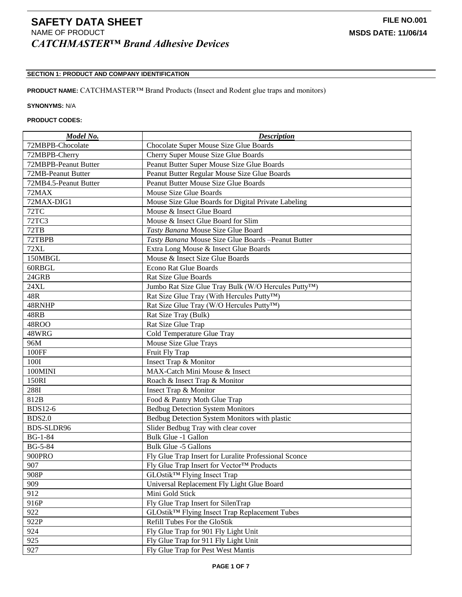# **SECTION 1: PRODUCT AND COMPANY IDENTIFICATION**

## **PRODUCT NAME:** CATCHMASTER™ Brand Products (Insect and Rodent glue traps and monitors)

### **SYNONYMS:** N/A

# **PRODUCT CODES:**

| Model No.             | <b>Description</b>                                                |
|-----------------------|-------------------------------------------------------------------|
| 72MBPB-Chocolate      | Chocolate Super Mouse Size Glue Boards                            |
| 72MBPB-Cherry         | Cherry Super Mouse Size Glue Boards                               |
| 72MBPB-Peanut Butter  | Peanut Butter Super Mouse Size Glue Boards                        |
| 72MB-Peanut Butter    | Peanut Butter Regular Mouse Size Glue Boards                      |
| 72MB4.5-Peanut Butter | Peanut Butter Mouse Size Glue Boards                              |
| 72MAX                 | Mouse Size Glue Boards                                            |
| 72MAX-DIG1            | Mouse Size Glue Boards for Digital Private Labeling               |
| 72TC                  | Mouse & Insect Glue Board                                         |
| <b>72TC3</b>          | Mouse & Insect Glue Board for Slim                                |
| 72TB                  | Tasty Banana Mouse Size Glue Board                                |
| 72TBPB                | Tasty Banana Mouse Size Glue Boards -Peanut Butter                |
| <b>72XL</b>           | Extra Long Mouse & Insect Glue Boards                             |
| 150MBGL               | Mouse & Insect Size Glue Boards                                   |
| 60RBGL                | <b>Econo Rat Glue Boards</b>                                      |
| 24GRB                 | <b>Rat Size Glue Boards</b>                                       |
| 24XL                  | Jumbo Rat Size Glue Tray Bulk (W/O Hercules Putty <sup>TM</sup> ) |
| 48R                   | Rat Size Glue Tray (With Hercules Putty™)                         |
| 48RNHP                | Rat Size Glue Tray (W/O Hercules Putty™)                          |
| 48RB                  | Rat Size Tray (Bulk)                                              |
| 48ROO                 | Rat Size Glue Trap                                                |
| 48WRG                 | Cold Temperature Glue Tray                                        |
| 96M                   | Mouse Size Glue Trays                                             |
| 100FF                 | Fruit Fly Trap                                                    |
| 100I                  | Insect Trap & Monitor                                             |
| 100MINI               | MAX-Catch Mini Mouse & Insect                                     |
| 150RI                 | Roach & Insect Trap & Monitor                                     |
| 288I                  | <b>Insect Trap &amp; Monitor</b>                                  |
| 812B                  | Food & Pantry Moth Glue Trap                                      |
| <b>BDS12-6</b>        | <b>Bedbug Detection System Monitors</b>                           |
| <b>BDS2.0</b>         | Bedbug Detection System Monitors with plastic                     |
| <b>BDS-SLDR96</b>     | Slider Bedbug Tray with clear cover                               |
| <b>BG-1-84</b>        | Bulk Glue -1 Gallon                                               |
| <b>BG-5-84</b>        | <b>Bulk Glue -5 Gallons</b>                                       |
| 900PRO                | Fly Glue Trap Insert for Luralite Professional Sconce             |
| 907                   | Fly Glue Trap Insert for Vector™ Products                         |
| 908P                  | GLOstik <sup>™</sup> Flying Insect Trap                           |
| 909                   | Universal Replacement Fly Light Glue Board                        |
| 912                   | Mini Gold Stick                                                   |
| 916P                  | Fly Glue Trap Insert for SilenTrap                                |
| 922                   | GLOstik <sup>™</sup> Flying Insect Trap Replacement Tubes         |
| 922P                  | Refill Tubes For the GloStik                                      |
| 924                   | Fly Glue Trap for 901 Fly Light Unit                              |
| 925                   | Fly Glue Trap for 911 Fly Light Unit                              |
| 927                   | Fly Glue Trap for Pest West Mantis                                |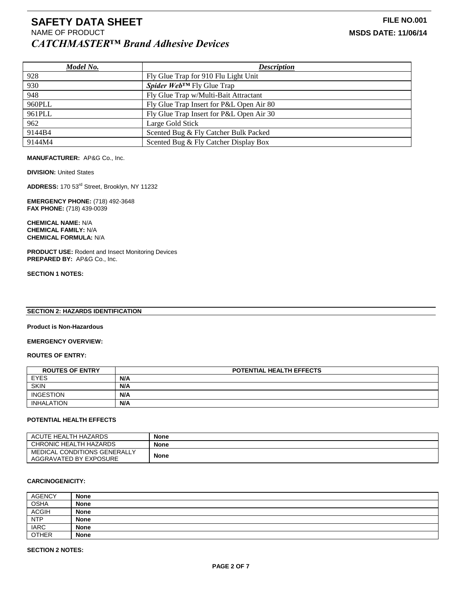| Model No. | <b>Description</b>                       |
|-----------|------------------------------------------|
| 928       | Fly Glue Trap for 910 Flu Light Unit     |
| 930       | <b>Spider WebTM</b> Fly Glue Trap        |
| 948       | Fly Glue Trap w/Multi-Bait Attractant    |
| 960PLL    | Fly Glue Trap Insert for P&L Open Air 80 |
| 961PLL    | Fly Glue Trap Insert for P&L Open Air 30 |
| 962       | Large Gold Stick                         |
| 9144B4    | Scented Bug & Fly Catcher Bulk Packed    |
| 9144M4    | Scented Bug & Fly Catcher Display Box    |

**MANUFACTURER:** AP&G Co., Inc.

**DIVISION: United States** 

**ADDRESS:** 170 53rd Street, Brooklyn, NY 11232

**EMERGENCY PHONE:** (718) 492-3648 **FAX PHONE:** (718) 439-0039

**CHEMICAL NAME:** N/A **CHEMICAL FAMILY:** N/A **CHEMICAL FORMULA:** N/A

**PRODUCT USE:** Rodent and Insect Monitoring Devices **PREPARED BY:** AP&G Co., Inc.

**SECTION 1 NOTES:**

#### **SECTION 2: HAZARDS IDENTIFICATION**

**Product is Non-Hazardous**

#### **EMERGENCY OVERVIEW:**

**ROUTES OF ENTRY:**

| <b>ROUTES OF ENTRY</b> | <b>POTENTIAL HEALTH EFFECTS</b> |
|------------------------|---------------------------------|
| <b>EYES</b>            | N/A                             |
| <b>SKIN</b>            | N/A                             |
| INGESTION              | N/A                             |
| <b>INHALATION</b>      | N/A                             |

#### **POTENTIAL HEALTH EFFECTS**

| ACUTE HEALTH HAZARDS         | <b>None</b> |
|------------------------------|-------------|
| CHRONIC HEALTH HAZARDS       | <b>None</b> |
| MEDICAL CONDITIONS GENERALLY | <b>None</b> |
| AGGRAVATED BY EXPOSURE       |             |

#### **CARCINOGENICITY:**

| <b>AGENCY</b> | <b>None</b> |
|---------------|-------------|
| <b>OSHA</b>   | <b>None</b> |
| <b>ACGIH</b>  | <b>None</b> |
| <b>NTP</b>    | <b>None</b> |
| <b>IARC</b>   | <b>None</b> |
| <b>OTHER</b>  | <b>None</b> |

#### **SECTION 2 NOTES:**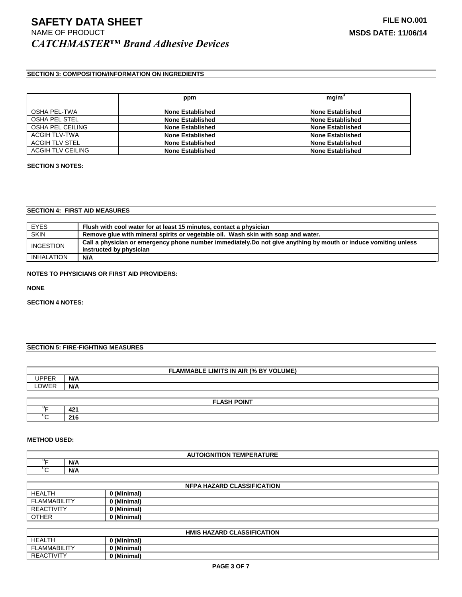# **SECTION 3: COMPOSITION/INFORMATION ON INGREDIENTS**

|                      | ppm                     | mg/m <sup>3</sup>       |
|----------------------|-------------------------|-------------------------|
| OSHA PEL-TWA         | <b>None Established</b> | <b>None Established</b> |
| <b>OSHA PEL STEL</b> | <b>None Established</b> | <b>None Established</b> |
| OSHA PEL CEILING     | <b>None Established</b> | <b>None Established</b> |
| ACGIH TLV-TWA        | <b>None Established</b> | <b>None Established</b> |
| ACGIH TLV STEL       | <b>None Established</b> | <b>None Established</b> |
| ACGIH TLV CEILING    | <b>None Established</b> | <b>None Established</b> |

#### **SECTION 3 NOTES:**

#### **SECTION 4: FIRST AID MEASURES**

| <b>EYES</b>       | Flush with cool water for at least 15 minutes, contact a physician                                              |
|-------------------|-----------------------------------------------------------------------------------------------------------------|
| <b>SKIN</b>       | Remove glue with mineral spirits or vegetable oil. Wash skin with soap and water.                               |
|                   | Call a physician or emergency phone number immediately. Do not give anything by mouth or induce vomiting unless |
| <b>INGESTION</b>  | instructed by physician                                                                                         |
| <b>INHALATION</b> | N/A                                                                                                             |

#### **NOTES TO PHYSICIANS OR FIRST AID PROVIDERS:**

**NONE**

**SECTION 4 NOTES:**

## **SECTION 5: FIRE-FIGHTING MEASURES**

| <b>LIMITS IN</b><br>(% BY VOLUME)<br><b>AIR</b><br>-AMMABLE |     |  |
|-------------------------------------------------------------|-----|--|
| I<br>.                                                      | N/A |  |
| LOWER                                                       | N/A |  |

| <b>FLACU BOILT</b><br>JIF |                              |
|---------------------------|------------------------------|
| .                         | $\overline{a}$<br><u>тс.</u> |
|                           | ኅብ<br>210                    |

#### **METHOD USED:**

| .<br>$\sim$<br>DIGNITION<br><b>IEMPERAIURE</b><br>n. |     |  |
|------------------------------------------------------|-----|--|
| $\overline{ }$                                       | N/A |  |
| ◡▱                                                   | N/A |  |

| <b>NFPA HAZARD CLASSIFICATION</b> |             |
|-----------------------------------|-------------|
| HEALTH                            | 0 (Minimal) |
| <b>FLAMMABILITY</b>               | 0 (Minimal) |
| <b>REACTIVITY</b>                 | 0 (Minimal) |
| <b>OTHER</b>                      | 0 (Minimal) |
|                                   |             |

| <b>HMIS HAZARD CLASSIFICATION</b> |                          |
|-----------------------------------|--------------------------|
| <b>HEALTH</b>                     | 0 (Minimal)              |
| ∟AMMABILITY<br>-                  | 0 (Minimal)              |
| REACTIVITY                        | $\mathbf{A}$<br>(Minimal |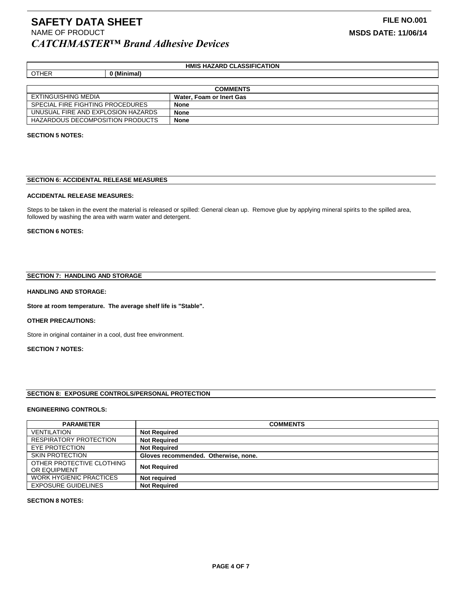### **HMIS HAZARD CLASSIFICATION**

| <b>COMMENTS</b>                    |                          |  |
|------------------------------------|--------------------------|--|
| EXTINGUISHING MEDIA                | Water, Foam or Inert Gas |  |
| SPECIAL FIRE FIGHTING PROCEDURES   | <b>None</b>              |  |
| UNUSUAL FIRE AND EXPLOSION HAZARDS | <b>None</b>              |  |
| HAZARDOUS DECOMPOSITION PRODUCTS   | <b>None</b>              |  |

#### **SECTION 5 NOTES:**

#### **SECTION 6: ACCIDENTAL RELEASE MEASURES**

#### **ACCIDENTAL RELEASE MEASURES:**

OTHER **0 (Minimal)**

Steps to be taken in the event the material is released or spilled: General clean up. Remove glue by applying mineral spirits to the spilled area, followed by washing the area with warm water and detergent.

#### **SECTION 6 NOTES:**

#### **SECTION 7: HANDLING AND STORAGE**

#### **HANDLING AND STORAGE:**

**Store at room temperature. The average shelf life is "Stable".**

#### **OTHER PRECAUTIONS:**

Store in original container in a cool, dust free environment.

#### **SECTION 7 NOTES:**

#### **SECTION 8: EXPOSURE CONTROLS/PERSONAL PROTECTION**

#### **ENGINEERING CONTROLS:**

| <b>PARAMETER</b>                          | <b>COMMENTS</b>                      |
|-------------------------------------------|--------------------------------------|
| <b>VENTILATION</b>                        | <b>Not Required</b>                  |
| <b>RESPIRATORY PROTECTION</b>             | <b>Not Required</b>                  |
| EYE PROTECTION                            | <b>Not Required</b>                  |
| <b>SKIN PROTECTION</b>                    | Gloves recommended. Otherwise, none. |
| OTHER PROTECTIVE CLOTHING<br>OR EQUIPMENT | <b>Not Required</b>                  |
| <b>WORK HYGIENIC PRACTICES</b>            | Not required                         |
| <b>EXPOSURE GUIDELINES</b>                | <b>Not Required</b>                  |

#### **SECTION 8 NOTES:**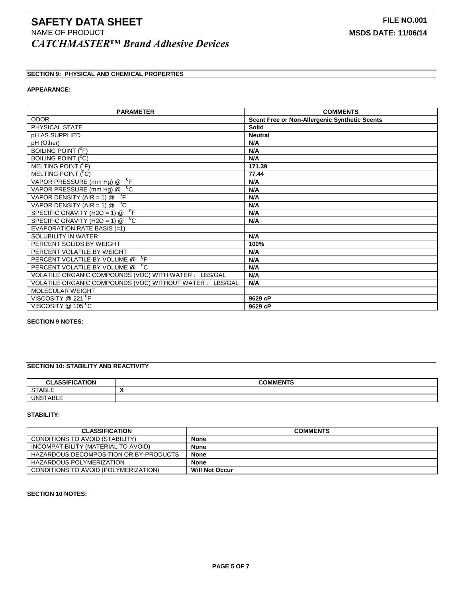# **SECTION 9: PHYSICAL AND CHEMICAL PROPERTIES**

#### **APPEARANCE:**

| <b>PARAMETER</b>                                         | <b>COMMENTS</b>                                      |
|----------------------------------------------------------|------------------------------------------------------|
| <b>ODOR</b>                                              | <b>Scent Free or Non-Allergenic Synthetic Scents</b> |
| PHYSICAL STATE                                           | <b>Solid</b>                                         |
| <b>pH AS SUPPLIED</b>                                    | <b>Neutral</b>                                       |
| pH (Other)                                               | N/A                                                  |
| BOILING POINT ( <sup>O</sup> F)                          | N/A                                                  |
| BOILING POINT ( <sup>O</sup> C)                          | N/A                                                  |
| MELTING POINT $(^0F)$                                    | 171.39                                               |
| MELTING POINT $(^0C)$                                    | 77.44                                                |
| VAPOR PRESSURE (mm Hg) @ <sup>0</sup> F                  | N/A                                                  |
| VAPOR PRESSURE (mm Hg) @ <sup>0</sup> C                  | N/A                                                  |
| VAPOR DENSITY (AIR = 1) $\textcircled{a}$ <sup>0</sup> F | N/A                                                  |
| ್ದ<br>VAPOR DENSITY (AIR = 1) $@$                        | N/A                                                  |
| $^0$ F<br>SPECIFIC GRAVITY (H2O = 1) @                   | N/A                                                  |
| $^{\circ}$ C<br>SPECIFIC GRAVITY (H2O = 1) $@$           | N/A                                                  |
| EVAPORATION RATE BASIS (=1)                              |                                                      |
| SOLUBILITY IN WATER                                      | N/A                                                  |
| PERCENT SOLIDS BY WEIGHT                                 | 100%                                                 |
| PERCENT VOLATILE BY WEIGHT                               | N/A                                                  |
| 0 <sub>F</sub><br>PERCENT VOLATILE BY VOLUME @           | N/A                                                  |
| PERCENT VOLATILE BY VOLUME @ C                           | N/A                                                  |
| VOLATILE ORGANIC COMPOUNDS (VOC) WITH WATER: LBS/GAL     | N/A                                                  |
| VOLATILE ORGANIC COMPOUNDS (VOC) WITHOUT WATER : LBS/GAL | N/A                                                  |
| <b>MOLECULAR WEIGHT</b>                                  |                                                      |
| VISCOSITY @ 221 $\mathrm{^0F}$                           | 9629 cP                                              |
| VISCOSITY @ 105 °C                                       | 9629 cP                                              |

### **SECTION 9 NOTES:**

### **SECTION 10: STABILITY AND REACTIVITY**

| ACCICIATION<br>$\sim$<br>ωn | <b>COMMENTS</b> |
|-----------------------------|-----------------|
| <b>STABLE</b>               | . .             |
| <b>UNSTABLE</b>             |                 |

### **STABILITY:**

| <b>CLASSIFICATION</b>                  | <b>COMMENTS</b>       |
|----------------------------------------|-----------------------|
| CONDITIONS TO AVOID (STABILITY)        | <b>None</b>           |
| INCOMPATIBILITY (MATERIAL TO AVOID)    | <b>None</b>           |
| HAZARDOUS DECOMPOSITION OR BY-PRODUCTS | <b>None</b>           |
| HAZARDOUS POLYMERIZATION               | <b>None</b>           |
| CONDITIONS TO AVOID (POLYMERIZATION)   | <b>Will Not Occur</b> |

#### **SECTION 10 NOTES:**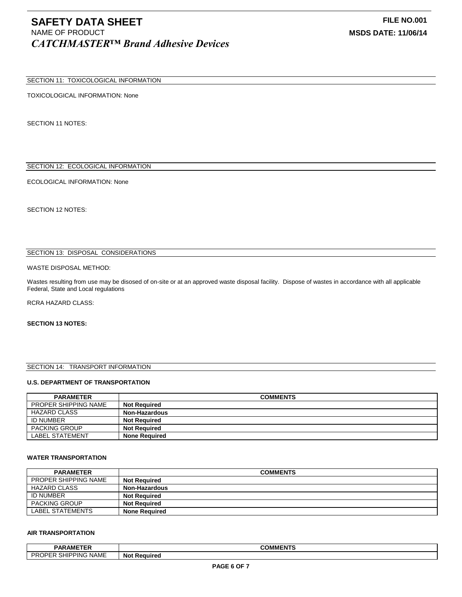#### SECTION 11: TOXICOLOGICAL INFORMATION

TOXICOLOGICAL INFORMATION: None

SECTION 11 NOTES:

# SECTION 12: ECOLOGICAL INFORMATION

ECOLOGICAL INFORMATION: None

SECTION 12 NOTES:

#### SECTION 13: DISPOSAL CONSIDERATIONS

#### WASTE DISPOSAL METHOD:

Wastes resulting from use may be disosed of on-site or at an approved waste disposal facility. Dispose of wastes in accordance with all applicable Federal, State and Local regulations

RCRA HAZARD CLASS:

#### **SECTION 13 NOTES:**

#### SECTION 14: TRANSPORT INFORMATION

#### **U.S. DEPARTMENT OF TRANSPORTATION**

| <b>PARAMETER</b>            | <b>COMMENTS</b>      |
|-----------------------------|----------------------|
| <b>PROPER SHIPPING NAME</b> | <b>Not Reauired</b>  |
| <b>HAZARD CLASS</b>         | <b>Non-Hazardous</b> |
| <b>ID NUMBER</b>            | <b>Not Required</b>  |
| <b>PACKING GROUP</b>        | <b>Not Required</b>  |
| <b>LABEL STATEMENT</b>      | <b>None Required</b> |

#### **WATER TRANSPORTATION**

| <b>PARAMETER</b>            | <b>COMMENTS</b>      |
|-----------------------------|----------------------|
| <b>PROPER SHIPPING NAME</b> | <b>Not Required</b>  |
| HAZARD CLASS                | <b>Non-Hazardous</b> |
| <b>ID NUMBER</b>            | <b>Not Required</b>  |
| <b>PACKING GROUP</b>        | <b>Not Reauired</b>  |
| LABEL STATEMENTS            | <b>None Required</b> |

#### **AIR TRANSPORTATION**

| <b>BABARETER</b><br>PARAMETER                                    | <b>COMMENTS</b>           |
|------------------------------------------------------------------|---------------------------|
| $\cdots$<br>PR<br><b>SHIPPING</b><br>ог<br>NAME<br>LIV<br>$\sim$ | <b>Not</b><br>rt Reauired |